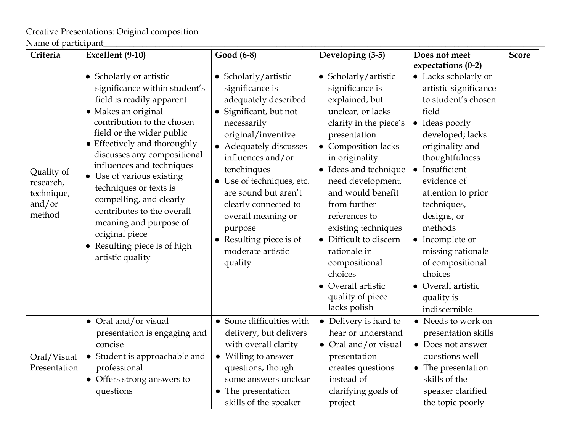Creative Presentations: Original composition

Name of participant\_\_\_\_\_\_\_\_\_\_\_\_\_\_\_\_\_\_\_\_\_\_\_\_\_\_\_\_\_\_\_\_\_\_\_\_\_\_\_\_\_\_\_\_\_\_\_\_\_\_\_\_\_\_\_\_\_\_\_\_\_\_\_\_\_\_\_\_\_\_\_\_\_\_\_\_\_\_\_\_\_\_\_\_\_\_\_\_\_\_\_\_\_\_\_\_\_\_\_\_\_\_

| Criteria                                                  | Excellent (9-10)                                                                                                                                                                                                                                                                                                                                                                                                                                                                    | Good (6-8)                                                                                                                                                                                                                                                                                                                                                                     | Developing (3-5)                                                                                                                                                                                                                                                                                                                                                                                                           | Does not meet                                                                                                                                                                                                                                                                                                                                                                        | <b>Score</b> |
|-----------------------------------------------------------|-------------------------------------------------------------------------------------------------------------------------------------------------------------------------------------------------------------------------------------------------------------------------------------------------------------------------------------------------------------------------------------------------------------------------------------------------------------------------------------|--------------------------------------------------------------------------------------------------------------------------------------------------------------------------------------------------------------------------------------------------------------------------------------------------------------------------------------------------------------------------------|----------------------------------------------------------------------------------------------------------------------------------------------------------------------------------------------------------------------------------------------------------------------------------------------------------------------------------------------------------------------------------------------------------------------------|--------------------------------------------------------------------------------------------------------------------------------------------------------------------------------------------------------------------------------------------------------------------------------------------------------------------------------------------------------------------------------------|--------------|
|                                                           |                                                                                                                                                                                                                                                                                                                                                                                                                                                                                     |                                                                                                                                                                                                                                                                                                                                                                                |                                                                                                                                                                                                                                                                                                                                                                                                                            | expectations (0-2)                                                                                                                                                                                                                                                                                                                                                                   |              |
| Quality of<br>research,<br>technique,<br>and/or<br>method | • Scholarly or artistic<br>significance within student's<br>field is readily apparent<br>• Makes an original<br>contribution to the chosen<br>field or the wider public<br>• Effectively and thoroughly<br>discusses any compositional<br>influences and techniques<br>• Use of various existing<br>techniques or texts is<br>compelling, and clearly<br>contributes to the overall<br>meaning and purpose of<br>original piece<br>• Resulting piece is of high<br>artistic quality | • Scholarly/artistic<br>significance is<br>adequately described<br>Significant, but not<br>necessarily<br>original/inventive<br>• Adequately discusses<br>influences and/or<br>tenchinques<br>• Use of techniques, etc.<br>are sound but aren't<br>clearly connected to<br>overall meaning or<br>purpose<br>Resulting piece is of<br>$\bullet$<br>moderate artistic<br>quality | • Scholarly/artistic<br>significance is<br>explained, but<br>unclear, or lacks<br>clarity in the piece's<br>presentation<br>• Composition lacks<br>in originality<br>• Ideas and technique<br>need development,<br>and would benefit<br>from further<br>references to<br>existing techniques<br>• Difficult to discern<br>rationale in<br>compositional<br>choices<br>Overall artistic<br>quality of piece<br>lacks polish | • Lacks scholarly or<br>artistic significance<br>to student's chosen<br>field<br>• Ideas poorly<br>developed; lacks<br>originality and<br>thoughtfulness<br>• Insufficient<br>evidence of<br>attention to prior<br>techniques,<br>designs, or<br>methods<br>• Incomplete or<br>missing rationale<br>of compositional<br>choices<br>• Overall artistic<br>quality is<br>indiscernible |              |
| Oral/Visual<br>Presentation                               | • Oral and/or visual<br>presentation is engaging and<br>concise<br>• Student is approachable and<br>professional<br>• Offers strong answers to<br>questions                                                                                                                                                                                                                                                                                                                         | • Some difficulties with<br>delivery, but delivers<br>with overall clarity<br>• Willing to answer<br>questions, though<br>some answers unclear<br>• The presentation<br>skills of the speaker                                                                                                                                                                                  | • Delivery is hard to<br>hear or understand<br>• Oral and/or visual<br>presentation<br>creates questions<br>instead of<br>clarifying goals of<br>project                                                                                                                                                                                                                                                                   | • Needs to work on<br>presentation skills<br>• Does not answer<br>questions well<br>• The presentation<br>skills of the<br>speaker clarified<br>the topic poorly                                                                                                                                                                                                                     |              |